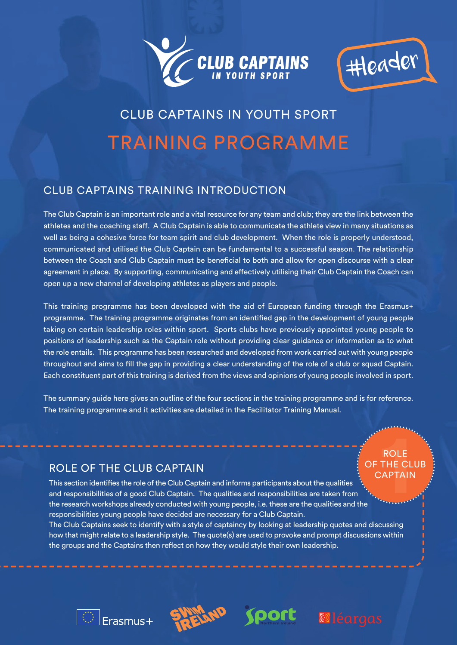



# Club Captains in youth spoRt tRaining pRogRaMMe

## Club Captains tRaining intRoduCtion

The Club Captain is an important role and a vital resource for any team and club; they are the link between the athletes and the coaching staff. a Club Captain is able to communicate the athlete view in many situations as well as being a cohesive force for team spirit and club development. When the role is properly understood, communicated and utilised the Club Captain can be fundamental to a successful season. The relationship between the Coach and Club Captain must be beneficial to both and allow for open discourse with a clear agreement in place. by supporting, communicating and effectively utilising their Club Captain the Coach can open up a new channel of developing athletes as players and people.

This training programme has been developed with the aid of European funding through the Erasmus+ programme. the training programme originates from an identified gap in the development of young people taking on certain leadership roles within sport. Sports clubs have previously appointed young people to positions of leadership such as the Captain role without providing clear guidance or information as to what the role entails. This programme has been researched and developed from work carried out with young people throughout and aims to fill the gap in providing a clear understanding of the role of a club or squad Captain. Each constituent part of this training is derived from the views and opinions of young people involved in sport.

The summary guide here gives an outline of the four sections in the training programme and is for reference. The training programme and it activities are detailed in the Facilitator Training Manual.

## ROLE OF THE CLUB CAPTAIN

this section identifies the role of the Club Captain and informs participants about the qualities and responsibilities of a good Club Captain. The qualities and responsibilities are taken from the research workshops already conducted with young people, i.e. these are the qualities and the responsibilities young people have decided are necessary for a Club Captain.

The Club Captains seek to identify with a style of captaincy by looking at leadership quotes and discussing how that might relate to a leadership style. The quote(s) are used to provoke and prompt discussions within the groups and the Captains then reflect on how they would style their own leadership.









ROI F OF THE CLU **CAPTAIN**